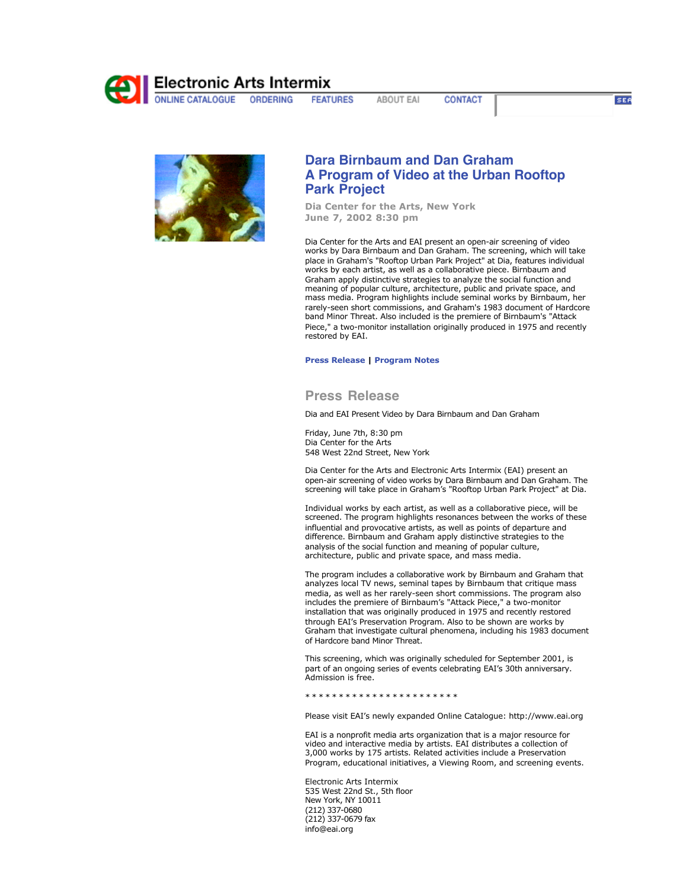

**FEATURES** ABOUT EAI **CONTACT** 

**SEA** 



## **Dara Birnbaum and Dan Graham A Program of Video at the Urban Rooftop Park Project**

**Dia Center for the Arts, New York June 7, 2002 8:30 pm**

Dia Center for the Arts and EAI present an open-air screening of video works by Dara Birnbaum and Dan Graham. The screening, which will take place in Graham's "Rooftop Urban Park Project" at Dia, features individual works by each artist, as well as a collaborative piece. Birnbaum and Graham apply distinctive strategies to analyze the social function and meaning of popular culture, architecture, public and private space, and mass media. Program highlights include seminal works by Birnbaum, her rarely-seen short commissions, and Graham's 1983 document of Hardcore band Minor Threat. Also included is the premiere of Birnbaum's "Attack Piece," a two-monitor installation originally produced in 1975 and recently restored by EAI.

## **Press Release | Program Notes**

## **Press Release**

Dia and EAI Present Video by Dara Birnbaum and Dan Graham

Friday, June 7th, 8:30 pm Dia Center for the Arts 548 West 22nd Street, New York

Dia Center for the Arts and Electronic Arts Intermix (EAI) present an open-air screening of video works by Dara Birnbaum and Dan Graham. The screening will take place in Graham's "Rooftop Urban Park Project" at Dia.

Individual works by each artist, as well as a collaborative piece, will be screened. The program highlights resonances between the works of these influential and provocative artists, as well as points of departure and difference. Birnbaum and Graham apply distinctive strategies to the analysis of the social function and meaning of popular culture, architecture, public and private space, and mass media.

The program includes a collaborative work by Birnbaum and Graham that analyzes local TV news, seminal tapes by Birnbaum that critique mass media, as well as her rarely-seen short commissions. The program also includes the premiere of Birnbaum's "Attack Piece," a two-monitor installation that was originally produced in 1975 and recently restored through EAI's Preservation Program. Also to be shown are works by Graham that investigate cultural phenomena, including his 1983 document of Hardcore band Minor Threat.

This screening, which was originally scheduled for September 2001, is part of an ongoing series of events celebrating EAI's 30th anniversary. Admission is free.

\* \* \* \* \* \* \* \* \* \* \* \* \* \* \* \* \* \* \* \* \* \* \*

Please visit EAI's newly expanded Online Catalogue: http://www.eai.org

EAI is a nonprofit media arts organization that is a major resource for video and interactive media by artists. EAI distributes a collection of 3,000 works by 175 artists. Related activities include a Preservation Program, educational initiatives, a Viewing Room, and screening events.

Electronic Arts Intermix 535 West 22nd St., 5th floor New York, NY 10011 (212) 337-0680 (212) 337-0679 fax info@eai.org